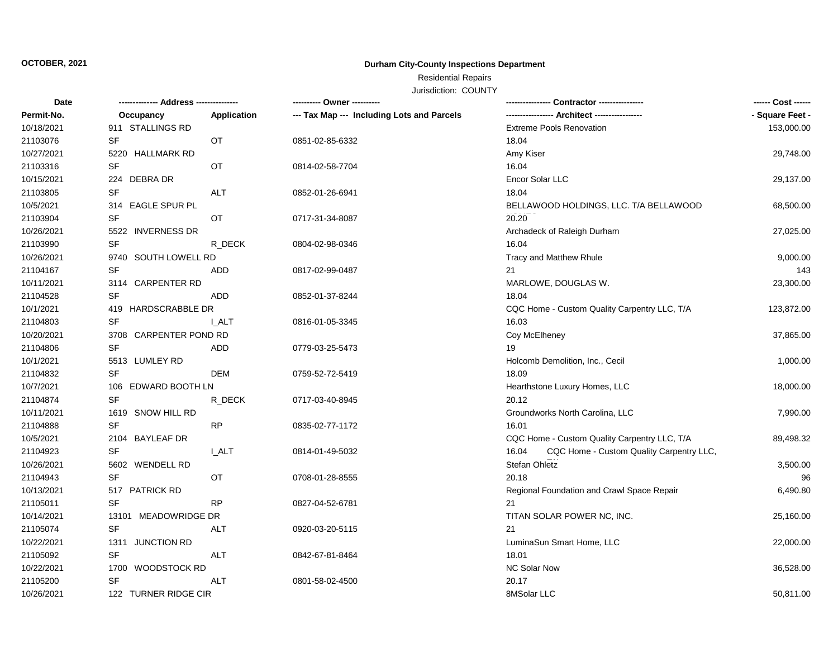## **OCTOBER, 2021**

## **Durham City-County Inspections Department**

# Residential Repairs

Jurisdiction: COUNTY

| <b>Date</b> |                        |             | ---------- Owner ----------                |                                                   | ------ Cost ------ |
|-------------|------------------------|-------------|--------------------------------------------|---------------------------------------------------|--------------------|
| Permit-No.  | Occupancy              | Application | --- Tax Map --- Including Lots and Parcels |                                                   | - Square Feet -    |
| 10/18/2021  | 911 STALLINGS RD       |             |                                            | <b>Extreme Pools Renovation</b>                   | 153,000.00         |
| 21103076    | <b>SF</b>              | OT          | 0851-02-85-6332                            | 18.04                                             |                    |
| 10/27/2021  | 5220 HALLMARK RD       |             |                                            | Amy Kiser                                         | 29,748.00          |
| 21103316    | SF                     | OT          | 0814-02-58-7704                            | 16.04                                             |                    |
| 10/15/2021  | 224 DEBRA DR           |             |                                            | Encor Solar LLC                                   | 29,137.00          |
| 21103805    | SF                     | <b>ALT</b>  | 0852-01-26-6941                            | 18.04                                             |                    |
| 10/5/2021   | 314 EAGLE SPUR PL      |             |                                            | BELLAWOOD HOLDINGS, LLC. T/A BELLAWOOD            | 68,500.00          |
| 21103904    | SF                     | OT          | 0717-31-34-8087                            | 20.20                                             |                    |
| 10/26/2021  | 5522 INVERNESS DR      |             |                                            | Archadeck of Raleigh Durham                       | 27,025.00          |
| 21103990    | <b>SF</b>              | R DECK      | 0804-02-98-0346                            | 16.04                                             |                    |
| 10/26/2021  | 9740 SOUTH LOWELL RD   |             |                                            | Tracy and Matthew Rhule                           | 9,000.00           |
| 21104167    | <b>SF</b>              | ADD         | 0817-02-99-0487                            | 21                                                | 143                |
| 10/11/2021  | 3114 CARPENTER RD      |             |                                            | MARLOWE, DOUGLAS W.                               | 23,300.00          |
| 21104528    | <b>SF</b>              | ADD         | 0852-01-37-8244                            | 18.04                                             |                    |
| 10/1/2021   | 419 HARDSCRABBLE DR    |             |                                            | CQC Home - Custom Quality Carpentry LLC, T/A      | 123,872.00         |
| 21104803    | <b>SF</b>              | I ALT       | 0816-01-05-3345                            | 16.03                                             |                    |
| 10/20/2021  | 3708 CARPENTER POND RD |             |                                            | Coy McElheney                                     | 37,865.00          |
| 21104806    | <b>SF</b>              | <b>ADD</b>  | 0779-03-25-5473                            | 19                                                |                    |
| 10/1/2021   | 5513 LUMLEY RD         |             |                                            | Holcomb Demolition, Inc., Cecil                   | 1,000.00           |
| 21104832    | <b>SF</b>              | DEM         | 0759-52-72-5419                            | 18.09                                             |                    |
| 10/7/2021   | 106 EDWARD BOOTH LN    |             |                                            | Hearthstone Luxury Homes, LLC                     | 18,000.00          |
| 21104874    | <b>SF</b>              | R DECK      | 0717-03-40-8945                            | 20.12                                             |                    |
| 10/11/2021  | 1619 SNOW HILL RD      |             |                                            | Groundworks North Carolina, LLC                   | 7,990.00           |
| 21104888    | <b>SF</b>              | <b>RP</b>   | 0835-02-77-1172                            | 16.01                                             |                    |
| 10/5/2021   | 2104 BAYLEAF DR        |             |                                            | CQC Home - Custom Quality Carpentry LLC, T/A      | 89,498.32          |
| 21104923    | SF                     | I ALT       | 0814-01-49-5032                            | CQC Home - Custom Quality Carpentry LLC,<br>16.04 |                    |
| 10/26/2021  | 5602 WENDELL RD        |             |                                            | Stefan Ohletz                                     | 3,500.00           |
| 21104943    | <b>SF</b>              | OT          | 0708-01-28-8555                            | 20.18                                             | 96                 |
| 10/13/2021  | 517 PATRICK RD         |             |                                            | Regional Foundation and Crawl Space Repair        | 6,490.80           |
| 21105011    | <b>SF</b>              | <b>RP</b>   | 0827-04-52-6781                            | 21                                                |                    |
| 10/14/2021  | 13101 MEADOWRIDGE DR   |             |                                            | TITAN SOLAR POWER NC, INC.                        | 25,160.00          |
| 21105074    | <b>SF</b>              | ALT         | 0920-03-20-5115                            | 21                                                |                    |
| 10/22/2021  | 1311 JUNCTION RD       |             |                                            | LuminaSun Smart Home, LLC                         | 22,000.00          |
| 21105092    | <b>SF</b>              | ALT         | 0842-67-81-8464                            | 18.01                                             |                    |
| 10/22/2021  | 1700 WOODSTOCK RD      |             |                                            | <b>NC Solar Now</b>                               | 36,528.00          |
| 21105200    | <b>SF</b>              | ALT         | 0801-58-02-4500                            | 20.17                                             |                    |
| 10/26/2021  | 122 TURNER RIDGE CIR   |             |                                            | 8MSolar LLC                                       | 50,811.00          |